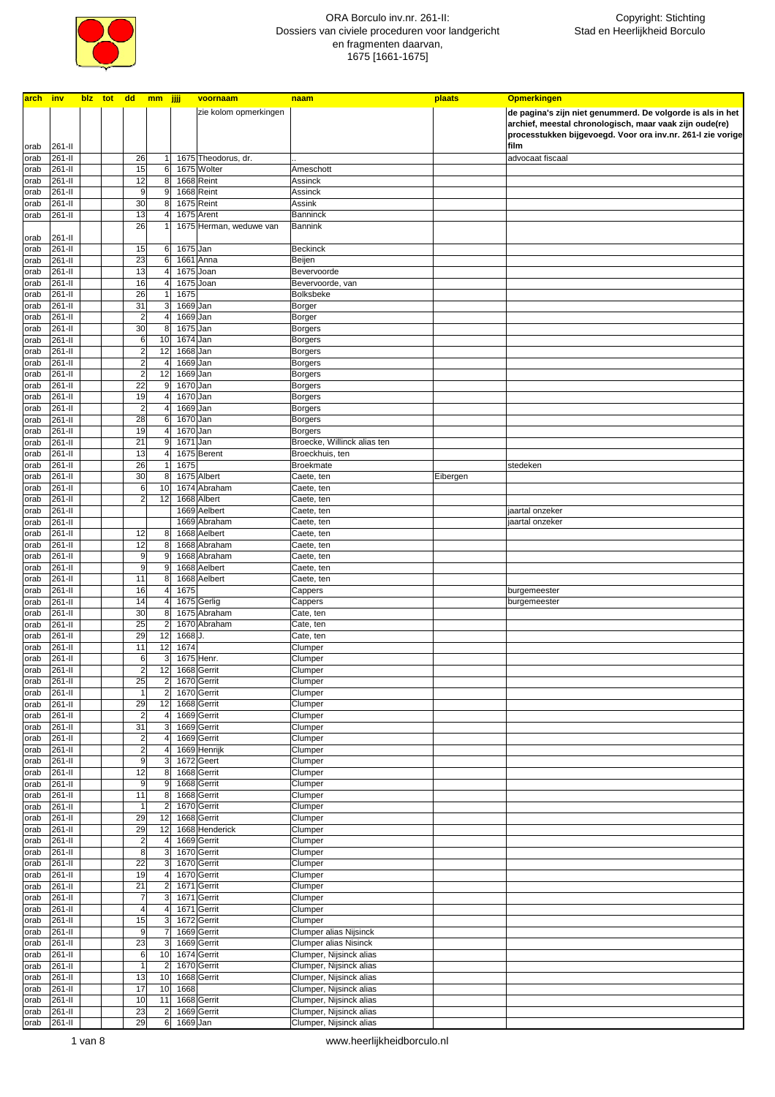

| arch inv |         |  | blz tot dd mm jjjj      |                         |                         |           | voornaam                | naam                        | plaats   | <b>Opmerkingen</b>                                          |
|----------|---------|--|-------------------------|-------------------------|-------------------------|-----------|-------------------------|-----------------------------|----------|-------------------------------------------------------------|
|          |         |  |                         |                         |                         |           | zie kolom opmerkingen   |                             |          | de pagina's zijn niet genummerd. De volgorde is als in het  |
|          |         |  |                         |                         |                         |           |                         |                             |          | archief, meestal chronologisch, maar vaak zijn oude(re)     |
|          |         |  |                         |                         |                         |           |                         |                             |          | processtukken bijgevoegd. Voor ora inv.nr. 261-I zie vorige |
| orab     | 261-II  |  |                         |                         |                         |           |                         |                             |          | film                                                        |
|          | 261-II  |  | 26                      | 1                       |                         |           |                         |                             |          |                                                             |
| orab     |         |  |                         |                         |                         |           | 1675 Theodorus, dr.     |                             |          | advocaat fiscaal                                            |
| orab     | 261-II  |  | 15                      | 6                       |                         |           | 1675 Wolter             | Ameschott                   |          |                                                             |
| orab     | 261-II  |  | 12                      | 8                       |                         |           | 1668 Reint              | Assinck                     |          |                                                             |
| orab     | 261-II  |  | 9                       | 9                       |                         |           | 1668 Reint              | Assinck                     |          |                                                             |
| orab     | 261-II  |  | 30                      | 8                       |                         |           | 1675 Reint              | Assink                      |          |                                                             |
| orab     | 261-II  |  | 13                      | 4                       |                         |           | 1675 Arent              | Banninck                    |          |                                                             |
|          |         |  | 26                      |                         |                         |           | 1675 Herman, weduwe van | Bannink                     |          |                                                             |
| orab     | 261-II  |  |                         |                         |                         |           |                         |                             |          |                                                             |
| orab     | 261-II  |  | 15                      | 6                       |                         | 1675 Jan  |                         | <b>Beckinck</b>             |          |                                                             |
| orab     | 261-II  |  | 23                      | 6                       |                         |           | 1661 Anna               | Beijen                      |          |                                                             |
| orab     | 261-II  |  | 13                      | 4                       |                         | 1675 Joan |                         | Bevervoorde                 |          |                                                             |
| orab     | 261-II  |  | 16                      | 4                       |                         | 1675 Joan |                         | Bevervoorde, van            |          |                                                             |
| orab     | 261-II  |  | 26                      | $\mathbf{1}$            |                         | 1675      |                         | Bolksbeke                   |          |                                                             |
|          | 261-II  |  | 31                      |                         | $\overline{\mathbf{3}}$ | 1669 Jan  |                         |                             |          |                                                             |
| orab     |         |  |                         |                         |                         |           |                         | Borger                      |          |                                                             |
| orab     | 261-II  |  | $\overline{\mathbf{c}}$ | $\overline{4}$          |                         | 1669 Jan  |                         | Borger                      |          |                                                             |
| orab     | 261-II  |  | 30                      | 8                       |                         | 1675 Jan  |                         | <b>Borgers</b>              |          |                                                             |
| orab     | 261-II  |  | 6                       | 10                      |                         | 1674 Jan  |                         | <b>Borgers</b>              |          |                                                             |
| orab     | 261-II  |  | $\overline{\mathbf{c}}$ | 12                      |                         | 1668 Jan  |                         | <b>Borgers</b>              |          |                                                             |
| orab     | 261-II  |  | $\overline{\mathbf{c}}$ | $\overline{4}$          |                         | 1669 Jan  |                         | <b>Borgers</b>              |          |                                                             |
| orab     | 261-II  |  | $\overline{c}$          | 12                      |                         | 1669 Jan  |                         | <b>Borgers</b>              |          |                                                             |
| orab     | 261-II  |  | 22                      | 9                       |                         | 1670 Jan  |                         | <b>Borgers</b>              |          |                                                             |
| orab     | 261-II  |  | 19                      | $\overline{4}$          |                         | 1670 Jan  |                         | Borgers                     |          |                                                             |
| orab     | 261-II  |  | $\overline{2}$          | 4                       |                         | 1669 Jan  |                         | <b>Borgers</b>              |          |                                                             |
| orab     | 261-II  |  | 28                      | $6 \mid$                |                         | 1670 Jan  |                         | <b>Borgers</b>              |          |                                                             |
| orab     | 261-II  |  | 19                      | 4                       |                         | 1670 Jan  |                         | <b>Borgers</b>              |          |                                                             |
|          |         |  | 21                      | 9                       |                         |           |                         |                             |          |                                                             |
| orab     | 261-II  |  | 13                      | 4                       |                         | 1671 Jan  |                         | Broecke, Willinck alias ten |          |                                                             |
| orab     | 261-II  |  |                         |                         |                         |           | 1675 Berent             | Broeckhuis, ten             |          |                                                             |
| orab     | 261-II  |  | 26                      | 1                       |                         | 1675      |                         | <b>Broekmate</b>            |          | stedeken                                                    |
| orab     | 261-II  |  | 30                      | 8                       |                         |           | 1675 Albert             | Caete, ten                  | Eibergen |                                                             |
| orab     | 261-II  |  | 6                       | 10                      |                         |           | 1674 Abraham            | Caete, ten                  |          |                                                             |
| orab     | 261-II  |  | $\overline{\mathbf{c}}$ | 12                      |                         |           | 1668 Albert             | Caete, ten                  |          |                                                             |
| orab     | 261-II  |  |                         |                         |                         |           | 1669 Aelbert            | Caete, ten                  |          | jaartal onzeker                                             |
| orab     | 261-II  |  |                         |                         |                         |           | 1669 Abraham            | Caete, ten                  |          | jaartal onzeker                                             |
| orab     | 261-II  |  | 12                      | 8                       |                         |           | 1668 Aelbert            | Caete, ten                  |          |                                                             |
| orab     | 261-II  |  | 12                      | 8                       |                         |           | 1668 Abraham            | Caete, ten                  |          |                                                             |
| orab     | 261-II  |  | 9                       | 9                       |                         |           | 1668 Abraham            | Caete, ten                  |          |                                                             |
| orab     | 261-II  |  | 9                       | 9                       |                         |           | 1668 Aelbert            | Caete, ten                  |          |                                                             |
|          |         |  | 11                      | 8                       |                         |           | 1668 Aelbert            | Caete, ten                  |          |                                                             |
| orab     | 261-II  |  |                         |                         |                         |           |                         |                             |          |                                                             |
| orab     | 261-II  |  | 16                      | 4                       |                         | 1675      |                         | Cappers                     |          | burgemeester                                                |
| orab     | 261-II  |  | 14                      | 4                       |                         |           | 1675 Gerlig             | Cappers                     |          | burgemeester                                                |
| orab     | 261-II  |  | 30                      | 8                       |                         |           | 1675 Abraham            | Cate, ten                   |          |                                                             |
| orab     | 261-II  |  | 25                      | $\overline{a}$          |                         |           | 1670 Abraham            | Cate, ten                   |          |                                                             |
| orab     | 261-II  |  | 29                      | 12                      |                         | 1668 J.   |                         | Cate, ten                   |          |                                                             |
| orab     | 261-II  |  | 11                      | 12                      |                         | 1674      |                         | Clumper                     |          |                                                             |
| orab     | 261-II  |  | 6                       | 3                       |                         |           | 1675 Henr.              | Clumper                     |          |                                                             |
| orab     | 261-II  |  | $\overline{2}$          | 12                      |                         |           | 1668 Gerrit             | Clumper                     |          |                                                             |
| orab     | $261 -$ |  | 25                      |                         | 2                       |           | 1670 Gerrit             | Clumper                     |          |                                                             |
| orab     | 261-II  |  | $\mathbf{1}$            | $\overline{2}$          |                         |           | 1670 Gerrit             | Clumper                     |          |                                                             |
| orab     | 261-II  |  | 29                      | 12                      |                         |           | 1668 Gerrit             | Clumper                     |          |                                                             |
| orab     | 261-II  |  | $\overline{2}$          | 4                       |                         |           | 1669 Gerrit             | Clumper                     |          |                                                             |
|          |         |  | 31                      | 3                       |                         |           | 1669 Gerrit             | Clumper                     |          |                                                             |
| orab     | 261-II  |  |                         |                         |                         |           |                         |                             |          |                                                             |
| orab     | 261-II  |  | $\overline{a}$          | $\overline{\mathbf{4}}$ |                         |           | 1669 Gerrit             | Clumper                     |          |                                                             |
| orab     | 261-II  |  | $\overline{2}$          | $\overline{\mathbf{4}}$ |                         |           | 1669 Henrijk            | Clumper                     |          |                                                             |
| orab     | 261-II  |  | $\boldsymbol{9}$        | $\overline{\mathbf{3}}$ |                         |           | 1672 Geert              | Clumper                     |          |                                                             |
| orab     | 261-II  |  | 12                      | $\boldsymbol{8}$        |                         |           | 1668 Gerrit             | Clumper                     |          |                                                             |
| orab     | 261-II  |  | 9                       | 9                       |                         |           | 1668 Gerrit             | Clumper                     |          |                                                             |
| orab     | 261-II  |  | 11                      | 8                       |                         |           | 1668 Gerrit             | Clumper                     |          |                                                             |
| orab     | 261-II  |  | $\mathbf{1}$            | $\overline{2}$          |                         |           | 1670 Gerrit             | Clumper                     |          |                                                             |
| orab     | 261-II  |  | 29                      | 12                      |                         |           | 1668 Gerrit             | Clumper                     |          |                                                             |
| orab     | 261-II  |  | 29                      | 12                      |                         |           | 1668 Henderick          | Clumper                     |          |                                                             |
| orab     | 261-II  |  | $\overline{\mathbf{c}}$ | 4                       |                         |           | 1669 Gerrit             | Clumper                     |          |                                                             |
| orab     | 261-II  |  | 8                       | 3                       |                         |           | 1670 Gerrit             | Clumper                     |          |                                                             |
| orab     | 261-II  |  | 22                      | $\overline{\mathbf{3}}$ |                         |           | 1670 Gerrit             | Clumper                     |          |                                                             |
|          | 261-II  |  | 19                      | $\overline{4}$          |                         |           | 1670 Gerrit             | Clumper                     |          |                                                             |
| orab     |         |  |                         |                         |                         |           |                         |                             |          |                                                             |
| orab     | 261-II  |  | 21                      | $\overline{2}$          |                         |           | 1671 Gerrit             | Clumper                     |          |                                                             |
| orab     | 261-II  |  | $\overline{7}$          | $\overline{3}$          |                         |           | 1671 Gerrit             | Clumper                     |          |                                                             |
| orab     | 261-II  |  | 4                       | 4                       |                         |           | 1671 Gerrit             | Clumper                     |          |                                                             |
| orab     | 261-II  |  | 15                      | $\overline{3}$          |                         |           | 1672 Gerrit             | Clumper                     |          |                                                             |
| orab     | 261-II  |  | 9                       | 7                       |                         |           | 1669 Gerrit             | Clumper alias Nijsinck      |          |                                                             |
| orab     | 261-II  |  | 23                      |                         | 3 <sup>1</sup>          |           | 1669 Gerrit             | Clumper alias Nisinck       |          |                                                             |
| orab     | 261-II  |  | 6                       | 10                      |                         |           | 1674 Gerrit             | Clumper, Nijsinck alias     |          |                                                             |
| orab     | 261-II  |  | $\mathbf{1}$            | $\overline{2}$          |                         |           | 1670 Gerrit             | Clumper, Nijsinck alias     |          |                                                             |
| orab     | 261-II  |  | 13                      | 10                      |                         |           | 1668 Gerrit             | Clumper, Nijsinck alias     |          |                                                             |
| orab     | 261-II  |  | 17                      | 10                      |                         | 1668      |                         | Clumper, Nijsinck alias     |          |                                                             |
| orab     | 261-II  |  | 10                      | 11                      |                         |           | 1668 Gerrit             | Clumper, Nijsinck alias     |          |                                                             |
| orab     | 261-II  |  | 23                      | $\overline{2}$          |                         |           | 1669 Gerrit             | Clumper, Nijsinck alias     |          |                                                             |
|          |         |  |                         |                         |                         |           |                         |                             |          |                                                             |
| orab     | 261-II  |  | 29                      | 6                       |                         | 1669 Jan  |                         | Clumper, Nijsinck alias     |          |                                                             |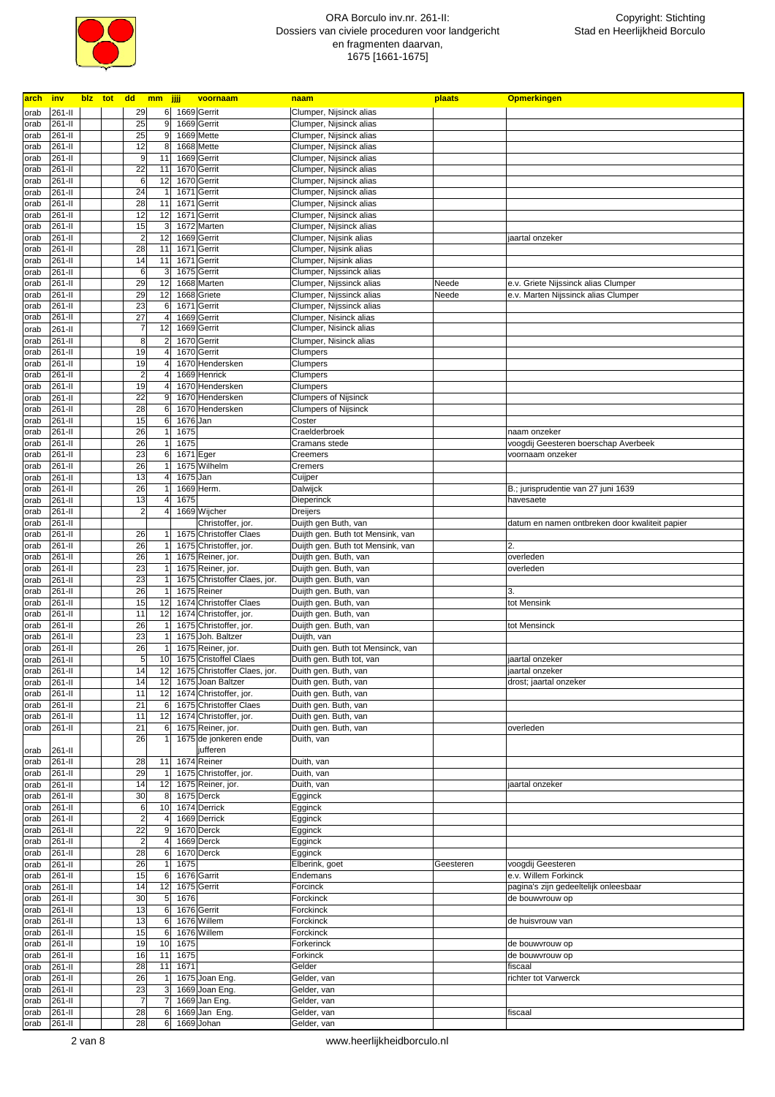

| <u>arch</u> | <b>inv</b> |  | <mark>blz tot dd mm jjjj</mark> |      | voornaam                     | naam                                         | plaats    | <b>Opmerkingen</b>                             |
|-------------|------------|--|---------------------------------|------|------------------------------|----------------------------------------------|-----------|------------------------------------------------|
| orab        | 261-II     |  | 29<br>6 <sup>1</sup>            |      | 1669 Gerrit                  | Clumper, Nijsinck alias                      |           |                                                |
| orab        | 261-II     |  | 25<br>9                         |      | 1669 Gerrit                  | Clumper, Nijsinck alias                      |           |                                                |
| orab        | 261-II     |  | 25<br>9                         |      | 1669 Mette                   | Clumper, Nijsinck alias                      |           |                                                |
| orab        | 261-II     |  | 12<br>8                         |      | 1668 Mette                   | Clumper, Nijsinck alias                      |           |                                                |
|             |            |  |                                 |      |                              |                                              |           |                                                |
| orab        | 261-II     |  | 9<br>11                         |      | 1669 Gerrit                  | Clumper, Nijsinck alias                      |           |                                                |
| orab        | 261-II     |  | 22<br>11                        |      | 1670 Gerrit                  | Clumper, Nijsinck alias                      |           |                                                |
| orab        | 261-II     |  | $6\phantom{1}6$<br>12           |      | 1670 Gerrit                  | Clumper, Nijsinck alias                      |           |                                                |
| orab        | 261-II     |  | 24                              |      | 1671 Gerrit                  | Clumper, Nijsinck alias                      |           |                                                |
| orab        | 261-II     |  | 28<br>11                        |      | 1671 Gerrit                  | Clumper, Nijsinck alias                      |           |                                                |
| orab        | 261-II     |  | 12<br>12                        |      | 1671 Gerrit                  | Clumper, Nijsinck alias                      |           |                                                |
| orab        | 261-II     |  | 15<br>3                         |      | 1672 Marten                  | Clumper, Nijsinck alias                      |           |                                                |
| orab        | 261-II     |  | $\overline{\mathbf{c}}$<br>12   |      | 1669 Gerrit                  | Clumper, Nijsink alias                       |           | jaartal onzeker                                |
| orab        | 261-II     |  | 28<br>11                        |      | 1671 Gerrit                  | Clumper, Nijsink alias                       |           |                                                |
|             |            |  |                                 |      |                              |                                              |           |                                                |
| orab        | 261-II     |  | 14<br>11                        |      | 1671 Gerrit                  | Clumper, Nijsink alias                       |           |                                                |
| orab        | 261-II     |  | 6<br>3                          |      | 1675 Gerrit                  | Clumper, Nijssinck alias                     |           |                                                |
| orab        | 261-II     |  | 29<br>12                        |      | 1668 Marten                  | Clumper, Nijssinck alias                     | Neede     | e.v. Griete Nijssinck alias Clumper            |
| orab        | 261-II     |  | 29<br>12                        |      | 1668 Griete                  | Clumper, Nijssinck alias                     | Neede     | e.v. Marten Nijssinck alias Clumper            |
| orab        | 261-II     |  | 23<br>6                         |      | 1671 Gerrit                  | Clumper, Nijssinck alias                     |           |                                                |
| orab        | 261-II     |  | 27<br>$\overline{4}$            |      | 1669 Gerrit                  | Clumper, Nisinck alias                       |           |                                                |
| orab        | 261-II     |  | $\overline{7}$<br>12            |      | 1669 Gerrit                  | Clumper, Nisinck alias                       |           |                                                |
| orab        | 261-II     |  | 8                               |      | 1670 Gerrit                  | Clumper, Nisinck alias                       |           |                                                |
| orab        | 261-II     |  | 19                              |      | 1670 Gerrit                  | Clumpers                                     |           |                                                |
|             | 261-II     |  | 19                              |      | 1670 Hendersken              |                                              |           |                                                |
| orab        |            |  |                                 |      |                              | Clumpers                                     |           |                                                |
| orab        | 261-II     |  | $\overline{a}$                  |      | 1669 Henrick                 | Clumpers                                     |           |                                                |
| orab        | 261-II     |  | 19                              |      | 1670 Hendersken              | Clumpers                                     |           |                                                |
| orab        | 261-II     |  | 22<br>9                         |      | 1670 Hendersken              | <b>Clumpers of Nijsinck</b>                  |           |                                                |
| orab        | 261-II     |  | 28<br>6                         |      | 1670 Hendersken              | <b>Clumpers of Nijsinck</b>                  |           |                                                |
| orab        | 261-II     |  | 15<br>6                         |      | 1676 Jan                     | Coster                                       |           |                                                |
| orab        | 261-II     |  | 26<br>1                         | 1675 |                              | Craelderbroek                                |           | naam onzeker                                   |
| orab        | 261-II     |  | 26<br>$\mathbf{1}$              | 1675 |                              | Cramans stede                                |           | voogdij Geesteren boerschap Averbeek           |
| orab        | 261-II     |  | 23<br>6                         |      | 1671 Eger                    | Creemers                                     |           | voornaam onzeker                               |
| orab        | 261-II     |  | 26                              |      | 1675 Wilhelm                 | Cremers                                      |           |                                                |
|             |            |  |                                 |      |                              |                                              |           |                                                |
| orab        | 261-II     |  | 13                              |      | 1675 Jan                     | Cuijper                                      |           |                                                |
| orab        | 261-II     |  | 26                              |      | 1669 Herm.                   | Dalwijck                                     |           | B.; jurisprudentie van 27 juni 1639            |
| orab        | 261-II     |  | 13                              | 1675 |                              | Dieperinck                                   |           | havesaete                                      |
| orab        | 261-II     |  | $\overline{c}$                  |      | 1669 Wijcher                 | Dreijers                                     |           |                                                |
| orab        | 261-II     |  |                                 |      | Christoffer, jor.            | Duijth gen Buth, van                         |           | datum en namen ontbreken door kwaliteit papier |
| orab        | 261-II     |  | 26                              |      | 1675 Christoffer Claes       | Duijth gen. Buth tot Mensink, van            |           |                                                |
| orab        | 261-II     |  | 26<br>1                         |      | 1675 Christoffer, jor.       | Duijth gen. Buth tot Mensink, van            |           | 2.                                             |
| orab        | 261-II     |  | 26<br>1                         |      | 1675 Reiner, jor.            | Duijth gen. Buth, van                        |           | overleden                                      |
| orab        | 261-II     |  | 23<br>1                         |      | 1675 Reiner, jor.            | Duijth gen. Buth, van                        |           | overleden                                      |
|             |            |  | 23                              |      | 1675 Christoffer Claes, jor. |                                              |           |                                                |
| orab        | 261-II     |  |                                 |      |                              | Duijth gen. Buth, van                        |           |                                                |
| orab        | 261-II     |  | 26                              |      | 1675 Reiner                  | Duijth gen. Buth, van                        |           | 3                                              |
| orab        | 261-II     |  | 15<br>12                        |      | 1674 Christoffer Claes       | Duijth gen. Buth, van                        |           | tot Mensink                                    |
| orab        | 261-II     |  | 11<br>12                        |      | 1674 Christoffer, jor.       | Duijth gen. Buth, van                        |           |                                                |
| orab        | 261-II     |  | 26                              |      | 1675 Christoffer, jor.       | Duijth gen. Buth, van                        |           | tot Mensinck                                   |
| orab        | 261-II     |  | 23                              |      | 1675 Joh. Baltzer            | Duijth, van                                  |           |                                                |
| orab        | 261-II     |  | 26                              |      | 1675 Reiner, jor.            | Duith gen. Buth tot Mensinck, van            |           |                                                |
| orab        | 261-II     |  | 5<br>10                         |      | 1675 Cristoffel Claes        | Duith gen. Buth tot, van                     |           | jaartal onzeker                                |
| orab        | 261-II     |  | 14<br>12                        |      | 1675 Christoffer Claes, jor. | Duith gen. Buth, van                         |           | jaartal onzeker                                |
| orab        |            |  | 14<br>12                        |      |                              |                                              |           |                                                |
|             | 261-II     |  |                                 |      | 1675 Joan Baltzer            | Duith gen. Buth, van<br>Duith gen. Buth, van |           | drost; jaartal onzeker                         |
| orab        | 261-II     |  | 11<br>12                        |      | 1674 Christoffer, jor.       |                                              |           |                                                |
| orab        | 261-II     |  | 21<br>6                         |      | 1675 Christoffer Claes       | Duith gen. Buth, van                         |           |                                                |
| orab        | 261-II     |  | 11<br>12                        |      | 1674 Christoffer, jor.       | Duith gen. Buth, van                         |           |                                                |
| orab        | 261-II     |  | 21<br>6                         |      | 1675 Reiner, jor.            | Duith gen. Buth, van                         |           | overleden                                      |
|             |            |  | 26                              |      | 1675 de jonkeren ende        | Duith, van                                   |           |                                                |
| orab        | 261-II     |  |                                 |      | jufferen                     |                                              |           |                                                |
| orab        | 261-II     |  | 28<br>11                        |      | 1674 Reiner                  | Duith, van                                   |           |                                                |
| orab        | 261-II     |  | 29                              |      | 1675 Christoffer, jor.       | Duith, van                                   |           |                                                |
| orab        | 261-II     |  | 14<br>12                        |      | 1675 Reiner, jor.            | Duith, van                                   |           | jaartal onzeker                                |
| orab        | 261-II     |  | 30<br>8                         |      | 1675 Derck                   | Egginck                                      |           |                                                |
| orab        | 261-II     |  | $\,$ 6<br>10                    |      | 1674 Derrick                 | Egginck                                      |           |                                                |
|             |            |  |                                 |      |                              |                                              |           |                                                |
| orab        | 261-II     |  | $\overline{a}$<br>4             |      | 1669 Derrick                 | Egginck                                      |           |                                                |
| orab        | 261-II     |  | 22<br>9                         |      | 1670 Derck                   | Egginck                                      |           |                                                |
| orab        | 261-II     |  | $\overline{a}$<br>4             |      | 1669 Derck                   | Egginck                                      |           |                                                |
| orab        | 261-II     |  | 28<br>6                         |      | 1670 Derck                   | Egginck                                      |           |                                                |
| orab        | 261-II     |  | 26                              | 1675 |                              | Elberink, goet                               | Geesteren | voogdij Geesteren                              |
| orab        | 261-II     |  | 15<br>6                         |      | 1676 Garrit                  | Endemans                                     |           | e.v. Willem Forkinck                           |
| orab        | 261-II     |  | 14<br>12                        |      | 1675 Gerrit                  | Forcinck                                     |           | pagina's zijn gedeeltelijk onleesbaar          |
| orab        | 261-II     |  | 30<br>5                         | 1676 |                              | Forckinck                                    |           | de bouwvrouw op                                |
| orab        | 261-II     |  | 13<br>6                         |      | 1676 Gerrit                  | Forckinck                                    |           |                                                |
|             |            |  | 13                              |      | 1676 Willem                  |                                              |           |                                                |
| orab        | 261-II     |  | 6                               |      |                              | Forckinck                                    |           | de huisvrouw van                               |
| orab        | 261-II     |  | 15<br>6                         |      | 1676 Willem                  | Forckinck                                    |           |                                                |
| orab        | 261-II     |  | 19<br>10                        | 1675 |                              | Forkerinck                                   |           | de bouwvrouw op                                |
| orab        | 261-II     |  | 16<br>11                        | 1675 |                              | Forkinck                                     |           | de bouwvrouw op                                |
| orab        | 261-II     |  | 28<br>11                        | 1671 |                              | Gelder                                       |           | fiscaal                                        |
| orab        | 261-II     |  | 26                              |      | 1675 Joan Eng.               | Gelder, van                                  |           | richter tot Varwerck                           |
| orab        | 261-II     |  | 23                              |      | 1669 Joan Eng.               | Gelder, van                                  |           |                                                |
| orab        | 261-II     |  | $\overline{7}$                  |      | 1669 Jan Eng.                | Gelder, van                                  |           |                                                |
|             |            |  | 28                              |      |                              |                                              |           | fiscaal                                        |
| orab        | 261-II     |  | 6                               |      | 1669 Jan Eng.                | Gelder, van                                  |           |                                                |
| orab        | 261-II     |  | 28<br>6                         |      | 1669 Johan                   | Gelder, van                                  |           |                                                |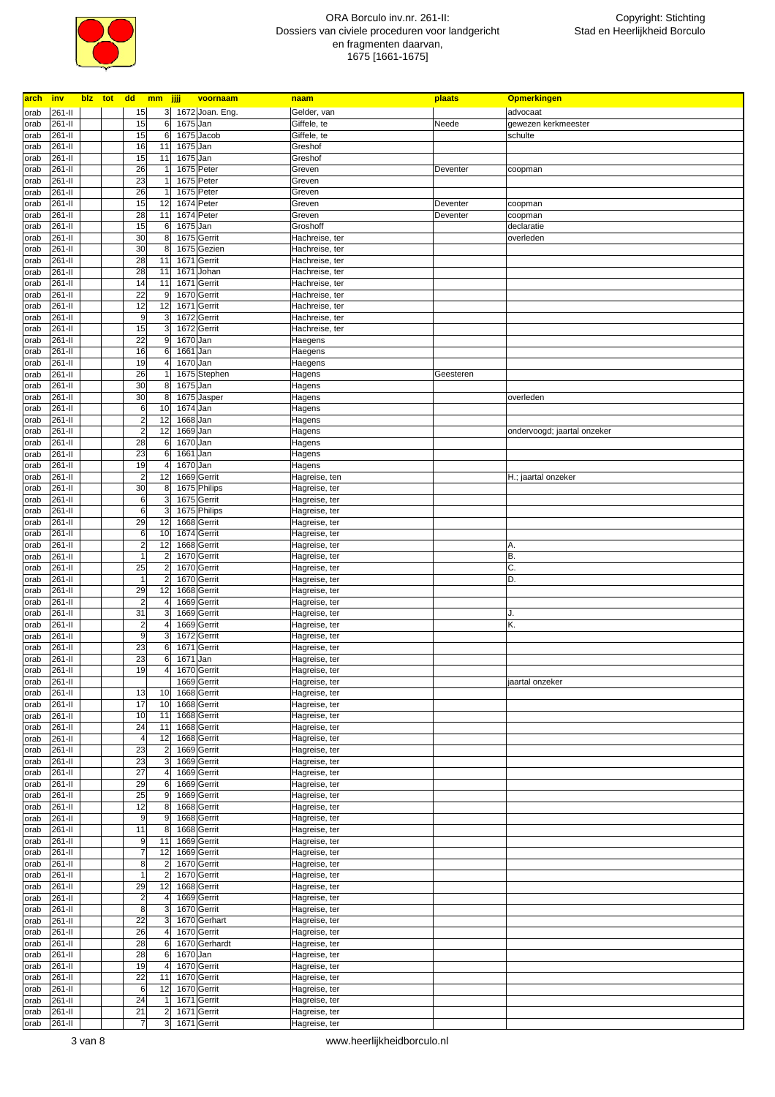

| <b>arch</b>  | inv              | blz tot | dd                               | mm jjjj                 |              | voornaam                   | naam                             | plaats    | <b>Opmerkingen</b>          |
|--------------|------------------|---------|----------------------------------|-------------------------|--------------|----------------------------|----------------------------------|-----------|-----------------------------|
| orab         | 261-II           |         | 15                               |                         |              | 3 1672 Joan. Eng.          | Gelder, van                      |           | advocaat                    |
| orab         | 261-II           |         | 15                               | 6                       |              | 1675 Jan                   | Giffele, te                      | Neede     | gewezen kerkmeester         |
| orab         | 261-II           |         | 15                               | 6                       |              | 1675 Jacob                 | Giffele, te                      |           | schulte                     |
| orab         | 261-II           |         | 16                               | 11                      | 1675         | Jan                        | Greshof                          |           |                             |
| orab         | 261-II           |         | 15                               | 11                      | 1675         | Jan                        | Greshof                          |           |                             |
| orab         | 261-II           |         | 26                               |                         |              | 1675 Peter                 | Greven                           | Deventer  | coopman                     |
| orab         | 261-II           |         | 23                               |                         |              | 1675 Peter                 | Greven                           |           |                             |
| orab         | 261-II           |         | 26                               |                         |              | 1675 Peter                 | Greven                           |           |                             |
| orab         | 261-II           |         | 15                               | 12                      |              | 1674 Peter                 | Greven                           | Deventer  | coopman                     |
| orab         | 261-II           |         | 28                               | 11                      |              | 1674 Peter                 | Greven                           | Deventer  | coopman                     |
| orab         | 261-II<br>261-II |         | 15<br>30                         | 6<br>8                  |              | 1675 Jan<br>1675 Gerrit    | Groshoff                         |           | declaratie<br>overleden     |
| orab<br>orab | 261-II           |         | 30                               | 8                       |              | 1675 Gezien                | Hachreise, ter<br>Hachreise, ter |           |                             |
| orab         | 261-II           |         | 28                               | 11                      | 1671         | Gerrit                     | Hachreise, ter                   |           |                             |
| orab         | 261-II           |         | 28                               | 11                      | 1671         | Johan                      | Hachreise, ter                   |           |                             |
| orab         | 261-II           |         | 14                               | 11                      |              | 1671 Gerrit                | Hachreise, ter                   |           |                             |
| orab         | 261-II           |         | 22                               | 9                       | 1670         | Gerrit                     | Hachreise, ter                   |           |                             |
| orab         | 261-II           |         | 12                               | 12                      | 1671         | Gerrit                     | Hachreise, ter                   |           |                             |
| orab         | 261-II           |         | 9                                | 3                       | 1672         | Gerrit                     | Hachreise, ter                   |           |                             |
| orab         | 261-II           |         | 15                               | 3                       |              | 1672 Gerrit                | Hachreise, ter                   |           |                             |
| orab         | 261-II           |         | 22                               | 9                       |              | 1670 Jan                   | Haegens                          |           |                             |
| orab         | $261 -$ II       |         | 16                               | $6 \mid$                | 1661         | Jan                        | Haegens                          |           |                             |
| orab         | 261-II           |         | 19                               | $\overline{4}$          | 1670         | Jan                        | Haegens                          |           |                             |
| orab         | 261-II           |         | 26                               |                         |              | 1675 Stephen               | Hagens                           | Geesteren |                             |
| orab         | 261-II           |         | 30                               | 8                       |              | 1675 Jan                   | Hagens                           |           |                             |
| orab         | 261-II           |         | 30                               | 8                       |              | 1675 Jasper                | Hagens                           |           | overleden                   |
| orab         | 261-II           |         | 6                                | 10                      |              | 1674 Jan                   | Hagens                           |           |                             |
| orab         | 261-II<br>261-II |         | $\overline{a}$<br>$\overline{2}$ | 12<br>12                | 1668<br>1669 | Jan                        | Hagens                           |           |                             |
| orab         | 261-II           |         | 28                               | 6                       |              | Jan<br>1670 Jan            | Hagens<br>Hagens                 |           | ondervoogd; jaartal onzeker |
| orab<br>orab | 261-II           |         | 23                               | $\,6$                   | 1661         | Jan                        | Hagens                           |           |                             |
| orab         | 261-II           |         | 19                               | 4                       |              | 1670 Jan                   | Hagens                           |           |                             |
| orab         | 261-II           |         | $\overline{2}$                   | 12                      |              | 1669 Gerrit                | Hagreise, ten                    |           | H.; jaartal onzeker         |
| orab         | 261-II           |         | 30                               | 8                       |              | 1675 Philips               | Hagreise, ter                    |           |                             |
| orab         | 261-II           |         | 6                                | 3                       |              | 1675 Gerrit                | Hagreise, ter                    |           |                             |
| orab         | 261-II           |         | 6                                | 3                       |              | 1675 Philips               | Hagreise, ter                    |           |                             |
| orab         | 261-II           |         | 29                               | 12                      |              | 1668 Gerrit                | Hagreise, ter                    |           |                             |
| orab         | 261-II           |         | 6                                | 10                      |              | 1674 Gerrit                | Hagreise, ter                    |           |                             |
| orab         | 261-II           |         | $\overline{a}$                   | 12                      |              | 1668 Gerrit                | Hagreise, ter                    |           | A.                          |
| orab         | 261-II           |         | 1                                | $\overline{2}$          |              | 1670 Gerrit                | Hagreise, ter                    |           | B.                          |
| orab         | 261-II           |         | 25                               | 2                       |              | 1670 Gerrit                | Hagreise, ter                    |           | C.                          |
| orab         | 261-II           |         | 1                                | $\overline{\mathbf{c}}$ |              | 1670 Gerrit                | Hagreise, ter                    |           | D.                          |
| orab         | 261-II           |         | 29                               | 12                      |              | 1668 Gerrit                | Hagreise, ter                    |           |                             |
| orab         | 261-II           |         | $\overline{\mathbf{c}}$          | 4                       |              | 1669 Gerrit                | Hagreise, ter                    |           |                             |
| orab         | 261-II<br>261-II |         | 31<br>$\overline{a}$             | 3<br>4                  |              | 1669 Gerrit<br>1669 Gerrit | Hagreise, ter                    |           | J.<br>Κ.                    |
| orab<br>orab | 261-II           |         | 9                                | 3                       | 1672         | Gerrit                     | Hagreise, ter<br>Hagreise, ter   |           |                             |
| orab         | 261-II           |         | 23                               | 6                       | 1671         | Gerrit                     | Hagreise, ter                    |           |                             |
| orab         | 261-II           |         | 23                               | 6                       | 1671         | Jan                        | Hagreise, ter                    |           |                             |
| orab         | 261-II           |         | 19                               | 4                       |              | 1670 Gerrit                | Hagreise, ter                    |           |                             |
| orab         | $261-I$          |         |                                  |                         |              | 1669 Gerrit                | Hagreise, ter                    |           | jaartal onzeker             |
| orab         | 261-II           |         | 13                               | 10                      |              | 1668 Gerrit                | Hagreise, ter                    |           |                             |
| orab         | $261 -$ II       |         | 17                               | 10                      |              | 1668 Gerrit                | Hagreise, ter                    |           |                             |
| orab         | 261-II           |         | 10                               | 11                      |              | 1668 Gerrit                | Hagreise, ter                    |           |                             |
| orab         | 261-II           |         | 24                               | 11                      |              | 1668 Gerrit                | Hagreise, ter                    |           |                             |
| orab         | 261-II           |         | $\overline{4}$                   | 12                      |              | 1668 Gerrit                | Hagreise, ter                    |           |                             |
| orab         | 261-II           |         | 23                               | $\overline{2}$          |              | 1669 Gerrit                | Hagreise, ter                    |           |                             |
| orab         | 261-II           |         | 23                               | 3                       |              | 1669 Gerrit                | Hagreise, ter                    |           |                             |
| orab         | 261-II           |         | 27                               | 4                       |              | 1669 Gerrit                | Hagreise, ter                    |           |                             |
| orab<br>orab | 261-II<br>261-II |         | 29<br>25                         | 6<br>9                  |              | 1669 Gerrit<br>1669 Gerrit | Hagreise, ter<br>Hagreise, ter   |           |                             |
| orab         | $261 -$ II       |         | 12                               | 8 <sup>1</sup>          |              | 1668 Gerrit                | Hagreise, ter                    |           |                             |
| orab         | 261-II           |         | 9                                | $\boldsymbol{9}$        |              | 1668 Gerrit                | Hagreise, ter                    |           |                             |
| orab         | 261-II           |         | 11                               | 8                       |              | 1668 Gerrit                | Hagreise, ter                    |           |                             |
| orab         | 261-II           |         | 9                                | 11                      |              | 1669 Gerrit                | Hagreise, ter                    |           |                             |
| orab         | 261-II           |         | 7                                | 12                      |              | 1669 Gerrit                | Hagreise, ter                    |           |                             |
| orab         | 261-II           |         | 8                                | $\overline{a}$          |              | 1670 Gerrit                | Hagreise, ter                    |           |                             |
| orab         | 261-II           |         | $\mathbf{1}$                     | $\mathbf 2$             |              | 1670 Gerrit                | Hagreise, ter                    |           |                             |
| orab         | 261-II           |         | 29                               | 12                      |              | 1668 Gerrit                | Hagreise, ter                    |           |                             |
| orab         | 261-II           |         | $\overline{\mathbf{c}}$          | 4                       |              | 1669 Gerrit                | Hagreise, ter                    |           |                             |
| orab         | 261-II           |         | 8                                | 3                       |              | 1670 Gerrit                | Hagreise, ter                    |           |                             |
| orab         | 261-II           |         | 22                               | 3                       |              | 1670 Gerhart               | Hagreise, ter                    |           |                             |
| orab         | 261-II           |         | 26                               | 4                       |              | 1670 Gerrit                | Hagreise, ter                    |           |                             |
| orab         | 261-II           |         | 28                               | 6                       |              | 1670 Gerhardt              | Hagreise, ter                    |           |                             |
| orab         | 261-II           |         | 28                               | 6                       |              | 1670 Jan                   | Hagreise, ter                    |           |                             |
| orab         | 261-II           |         | 19<br>22                         | 4                       |              | 1670 Gerrit                | Hagreise, ter                    |           |                             |
| orab<br>orab | 261-II<br>261-II |         | 6                                | 11<br>12                |              | 1670 Gerrit<br>1670 Gerrit | Hagreise, ter<br>Hagreise, ter   |           |                             |
| orab         | 261-II           |         | 24                               |                         |              | 1671 Gerrit                | Hagreise, ter                    |           |                             |
| orab         | 261-II           |         | 21                               | $\overline{2}$          |              | 1671 Gerrit                | Hagreise, ter                    |           |                             |
| orab         | 261-II           |         | 7                                | 3 <sup>1</sup>          |              | 1671 Gerrit                | Hagreise, ter                    |           |                             |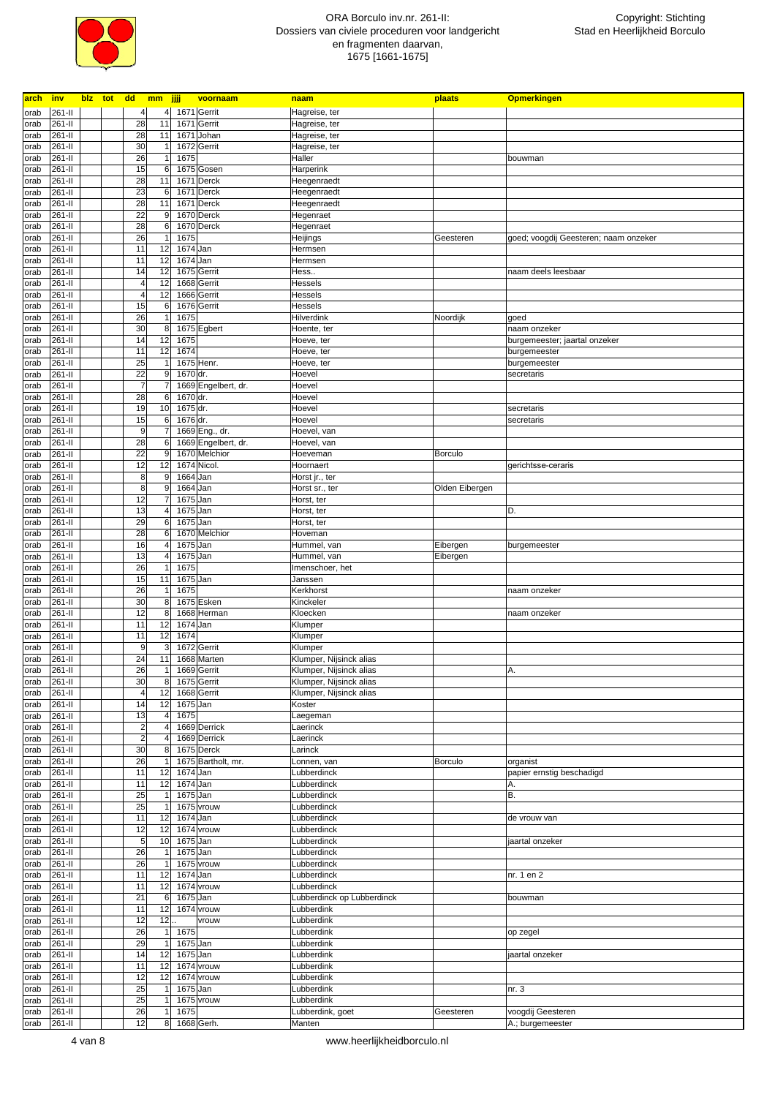

| <b>arch</b> | <u>inv</u>  |  |                         | blz tot dd mm jjjj |               | voornaam            | naam                       | plaats         | <b>Opmerkingen</b>                    |
|-------------|-------------|--|-------------------------|--------------------|---------------|---------------------|----------------------------|----------------|---------------------------------------|
| orab        | 261-II      |  | $\overline{4}$          | $\overline{4}$     |               | 1671 Gerrit         | Hagreise, ter              |                |                                       |
| orab        | 261-II      |  | 28                      | 11                 |               | 1671 Gerrit         | Hagreise, ter              |                |                                       |
|             |             |  |                         |                    |               |                     |                            |                |                                       |
| orab        | 261-II      |  | 28                      | 11                 | 1671          | Johan               | Hagreise, ter              |                |                                       |
| orab        | 261-II      |  | 30                      | 1                  |               | 1672 Gerrit         | Hagreise, ter              |                |                                       |
| orab        | 261-II      |  | 26                      | 1                  | 1675          |                     | Haller                     |                | bouwman                               |
| orab        | 261-II      |  | 15                      | 6                  |               | 1675 Gosen          | Harperink                  |                |                                       |
| orab        | 261-II      |  | 28                      | 11                 |               | 1671 Derck          | Heegenraedt                |                |                                       |
|             |             |  |                         |                    |               |                     |                            |                |                                       |
| orab        | 261-II      |  | 23                      | 6                  | 1671          | Derck               | Heegenraedt                |                |                                       |
| orab        | 261-II      |  | 28                      | 11                 |               | 1671 Derck          | Heegenraedt                |                |                                       |
| orab        | 261-II      |  | 22                      | 9                  |               | 1670 Derck          | Hegenraet                  |                |                                       |
| orab        | 261-II      |  | 28                      | 6                  |               | 1670 Derck          | Hegenraet                  |                |                                       |
| orab        | 261-II      |  | 26                      |                    | 1675          |                     | Heijings                   | Geesteren      | goed; voogdij Geesteren; naam onzeker |
|             |             |  |                         |                    |               |                     |                            |                |                                       |
| orab        | 261-II      |  | 11                      | 12                 | 1674 Jan      |                     | Hermsen                    |                |                                       |
| orab        | 261-II      |  | 11                      | 12                 | 1674 Jan      |                     | Hermsen                    |                |                                       |
| orab        | 261-II      |  | 14                      | 12                 |               | 1675 Gerrit         | Hess                       |                | naam deels leesbaar                   |
| orab        | 261-II      |  | $\overline{4}$          | 12                 |               | 1668 Gerrit         | Hessels                    |                |                                       |
|             | 261-II      |  | $\overline{\mathbf{A}}$ | 12                 |               | 1666 Gerrit         | Hessels                    |                |                                       |
| orab        |             |  |                         |                    |               |                     |                            |                |                                       |
| orab        | 261-II      |  | 15                      | 6                  |               | 1676 Gerrit         | <b>Hessels</b>             |                |                                       |
| orab        | 261-II      |  | 26                      |                    | 1675          |                     | Hilverdink                 | Noordijk       | goed                                  |
| orab        | 261-II      |  | 30                      | 8                  |               | 1675 Egbert         | Hoente, ter                |                | naam onzeker                          |
| orab        | 261-II      |  | 14                      | 12                 | 1675          |                     | Hoeve, ter                 |                | burgemeester; jaartal onzeker         |
| orab        | 261-II      |  | 11                      | 12                 | 1674          |                     | Hoeve, ter                 |                | burgemeester                          |
|             |             |  |                         |                    |               |                     |                            |                |                                       |
| orab        | 261-II      |  | 25                      |                    |               | 1675 Henr.          | Hoeve, ter                 |                | burgemeester                          |
| orab        | 261-II      |  | 22                      | 9                  | 1670 dr.      |                     | Hoevel                     |                | secretaris                            |
| orab        | 261-II      |  | $\overline{7}$          |                    |               | 1669 Engelbert, dr. | Hoevel                     |                |                                       |
| orab        | 261-II      |  | 28                      | 6                  | 1670 dr.      |                     | Hoevel                     |                |                                       |
|             |             |  |                         | 10                 |               |                     |                            |                |                                       |
| orab        | 261-II      |  | 19                      |                    | 1675 dr.      |                     | Hoevel                     |                | secretaris                            |
| orab        | 261-II      |  | 15                      | 6                  | 1676 dr.      |                     | Hoevel                     |                | secretaris                            |
| orab        | 261-II      |  | 9                       | 7                  |               | 1669 Eng., dr.      | Hoevel, van                |                |                                       |
| orab        | 261-II      |  | 28                      | 6                  |               | 1669 Engelbert, dr. | Hoevel, van                |                |                                       |
|             | 261-II      |  | 22                      | 9                  |               | 1670 Melchior       | Hoeveman                   | <b>Borculo</b> |                                       |
| orab        |             |  |                         |                    |               |                     |                            |                |                                       |
| orab        | 261-II      |  | 12                      | 12                 |               | 1674 Nicol.         | Hoornaert                  |                | gerichtsse-ceraris                    |
| orab        | 261-II      |  | 8                       | 9                  | 1664 Jan      |                     | Horst jr., ter             |                |                                       |
| orab        | 261-II      |  | 8                       | 9                  | 1664 Jan      |                     | Horst sr., ter             | Olden Eibergen |                                       |
| orab        | 261-II      |  | 12                      |                    | 1675 Jan      |                     | Horst, ter                 |                |                                       |
|             |             |  |                         |                    |               |                     |                            |                |                                       |
| orab        | 261-II      |  | 13                      |                    | 1675 Jan      |                     | Horst, ter                 |                | D.                                    |
| orab        | 261-II      |  | 29                      | 6                  | 1675 Jan      |                     | Horst, ter                 |                |                                       |
| orab        | 261-II      |  | 28                      | 6                  |               | 1670 Melchior       | Hoveman                    |                |                                       |
| orab        | 261-II      |  | 16                      | 4                  | 1675 Jan      |                     | Hummel, van                | Eibergen       | burgemeester                          |
|             |             |  |                         |                    |               |                     |                            |                |                                       |
| orab        | 261-II      |  | 13                      | 4                  | 1675 Jan      |                     | Hummel, van                | Eibergen       |                                       |
| orab        | 261-II      |  | 26                      |                    | 1675          |                     | Imenschoer, het            |                |                                       |
| orab        | 261-II      |  | 15                      | 11                 | 1675 Jan      |                     | Janssen                    |                |                                       |
| orab        | 261-II      |  | 26                      |                    | 1675          |                     | Kerkhorst                  |                | naam onzeker                          |
|             |             |  |                         |                    |               |                     |                            |                |                                       |
| orab        | 261-II      |  | 30                      | 8                  |               | 1675 Esken          | Kinckeler                  |                |                                       |
| orab        | 261-II      |  | 12                      | 8                  |               | 1668 Herman         | Kloecken                   |                | naam onzeker                          |
| orab        | 261-II      |  | 11                      | 12                 | 1674 Jan      |                     | Klumper                    |                |                                       |
| orab        | 261-II      |  | 11                      | 12                 | 1674          |                     | Klumper                    |                |                                       |
| orab        | 261-II      |  | 9                       | 3                  |               | 1672 Gerrit         | Klumper                    |                |                                       |
|             |             |  |                         |                    |               |                     |                            |                |                                       |
| orab        | 261-II      |  | 24                      | 11                 |               | 1668 Marten         | Klumper, Nijsinck alias    |                |                                       |
| orab        | 261-II      |  | 26                      |                    |               | 1669 Gerrit         | Klumper, Nijsinck alias    |                | Α.                                    |
| orab        | $ 261 -$ II |  | $\frac{30}{5}$          |                    | 8 1675 Gerrit |                     | Klumper, Nijsinck alias    |                |                                       |
| orab        | $261-I$     |  | $\overline{4}$          | 12                 |               | 1668 Gerrit         | Klumper, Nijsinck alias    |                |                                       |
|             | 261-II      |  | 14                      | 12                 | 1675 Jan      |                     | Koster                     |                |                                       |
| orab        |             |  |                         |                    |               |                     |                            |                |                                       |
| orab        | 261-II      |  | 13                      |                    | 1675          |                     | Laegeman                   |                |                                       |
| orab        | 261-II      |  | $\overline{\mathbf{c}}$ |                    |               | 1669 Derrick        | Laerinck                   |                |                                       |
| orab        | 261-II      |  | $\overline{2}$          |                    |               | 1669 Derrick        | Laerinck                   |                |                                       |
| orab        | 261-II      |  | 30                      | 8                  |               | 1675 Derck          | Larinck                    |                |                                       |
|             |             |  |                         |                    |               |                     |                            |                |                                       |
| orab        | 261-II      |  | 26                      |                    |               | 1675 Bartholt, mr.  | Lonnen, van                | Borculo        | organist                              |
| orab        | 261-II      |  | 11                      | 12                 | 1674 Jan      |                     | Lubberdinck                |                | papier ernstig beschadigd             |
| orab        | 261-II      |  | 11                      | 12                 | 1674 Jan      |                     | Lubberdinck                |                | Α.                                    |
| orab        | 261-II      |  | 25                      | 1                  | 1675 Jan      |                     | Lubberdinck                |                | Β.                                    |
| orab        | 261-II      |  | 25                      | 1                  |               | 1675 vrouw          | Lubberdinck                |                |                                       |
|             |             |  |                         |                    |               |                     |                            |                |                                       |
| orab        | 261-II      |  | 11                      | 12                 | 1674 Jan      |                     | Lubberdinck                |                | de vrouw van                          |
| orab        | 261-II      |  | 12                      | 12                 |               | 1674 vrouw          | Lubberdinck                |                |                                       |
| orab        | 261-II      |  | 5                       | 10 <sup>1</sup>    | 1675 Jan      |                     | Lubberdinck                |                | jaartal onzeker                       |
| orab        | 261-II      |  | 26                      |                    | 1675 Jan      |                     | Lubberdinck                |                |                                       |
|             |             |  |                         |                    |               | 1675 vrouw          | Lubberdinck                |                |                                       |
| orab        | 261-II      |  | 26                      |                    |               |                     |                            |                |                                       |
| orab        | 261-II      |  | 11                      | 12                 | 1674 Jan      |                     | Lubberdinck                |                | nr. 1 en 2                            |
| orab        | 261-II      |  | 11                      | 12                 |               | 1674 vrouw          | Lubberdinck                |                |                                       |
| orab        | 261-II      |  | 21                      | $\,6$              | 1675 Jan      |                     | Lubberdinck op Lubberdinck |                | bouwman                               |
| orab        | 261-II      |  | 11                      | 12                 |               | 1674 vrouw          | Lubberdink                 |                |                                       |
|             |             |  |                         |                    |               |                     |                            |                |                                       |
| orab        | 261-II      |  | 12                      | 12                 |               | vrouw               | Lubberdink                 |                |                                       |
| orab        | 261-II      |  | 26                      | $\mathbf{1}$       | 1675          |                     | Lubberdink                 |                | op zegel                              |
| orab        | 261-II      |  | 29                      | $\mathbf{1}$       | 1675 Jan      |                     | Lubberdink                 |                |                                       |
| orab        | 261-II      |  | 14                      | 12                 | 1675 Jan      |                     | Lubberdink                 |                | jaartal onzeker                       |
|             |             |  |                         |                    |               |                     |                            |                |                                       |
| orab        | 261-II      |  | 11                      | 12                 |               | 1674 vrouw          | Lubberdink                 |                |                                       |
| orab        | 261-II      |  | 12                      | 12                 |               | 1674 vrouw          | Lubberdink                 |                |                                       |
| orab        | 261-II      |  | 25                      |                    | 1675 Jan      |                     | Lubberdink                 |                | nr. 3                                 |
| orab        | 261-II      |  | 25                      |                    |               | 1675 vrouw          | Lubberdink                 |                |                                       |
|             |             |  |                         |                    |               |                     |                            |                |                                       |
| orab        | 261-II      |  | 26                      | $\mathbf{1}$       | 1675          |                     | Lubberdink, goet           | Geesteren      | voogdij Geesteren                     |
| orab        | 261-II      |  | 12                      | 8 <sup>1</sup>     | 1668 Gerh.    |                     | Manten                     |                | A.; burgemeester                      |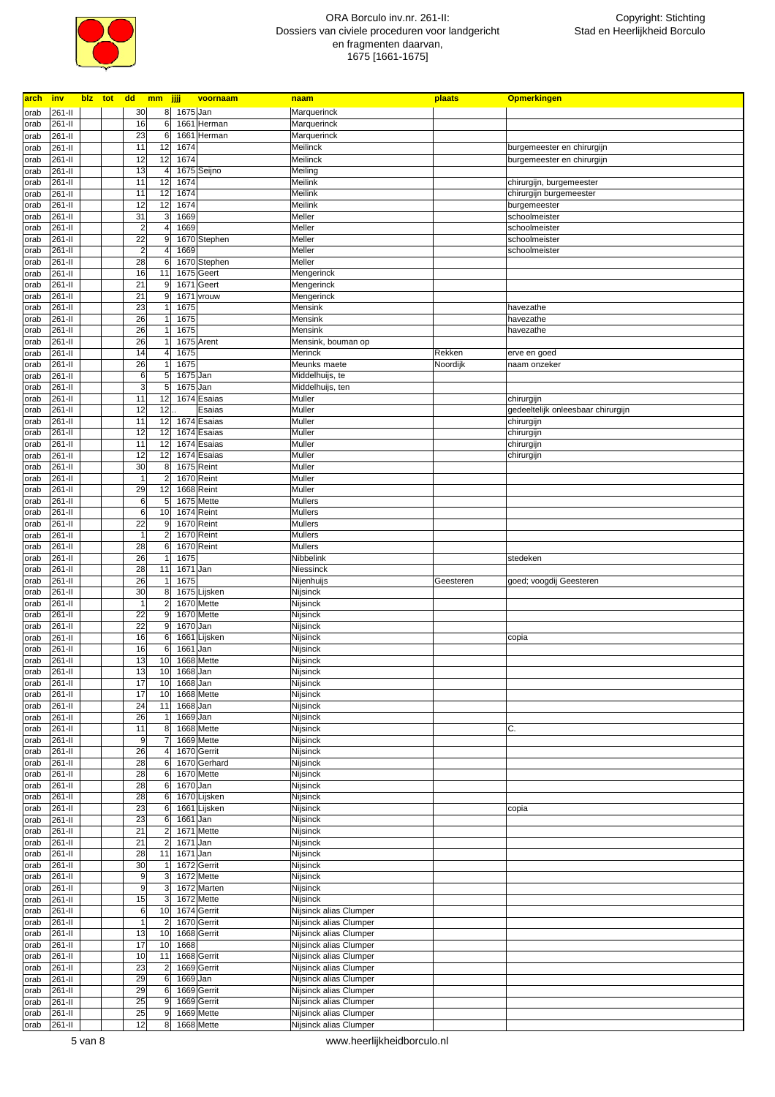

| arch | <u>inv</u> |  |                 | blz tot dd mm jjjj |          | voornaam     | naam                   | plaats    | <b>Opmerkingen</b>                 |
|------|------------|--|-----------------|--------------------|----------|--------------|------------------------|-----------|------------------------------------|
| orab | 261-II     |  | 30              | 8                  | 1675 Jan |              | Marquerinck            |           |                                    |
| orab | 261-II     |  | 16              | 6                  |          | 1661 Herman  | Marquerinck            |           |                                    |
|      |            |  |                 |                    |          |              |                        |           |                                    |
| orab | 261-II     |  | 23              | 6                  | 1661     | Herman       | Marquerinck            |           |                                    |
| orab | 261-II     |  | 11              | 12                 | 1674     |              | Meilinck               |           | burgemeester en chirurgijn         |
| orab | 261-II     |  | 12              | 12                 | 1674     |              | Meilinck               |           | burgemeester en chirurgijn         |
| orab | 261-II     |  | 13              | 4                  |          | 1675 Seijno  | Meiling                |           |                                    |
|      | 261-II     |  | 11              | 12                 | 1674     |              | Meilink                |           | chirurgijn, burgemeester           |
| orab |            |  |                 |                    |          |              |                        |           |                                    |
| orab | 261-II     |  | 11              | 12                 | 1674     |              | Meilink                |           | chirurgijn burgemeester            |
| orab | 261-II     |  | 12              | 12                 | 1674     |              | Meilink                |           | burgemeester                       |
| orab | 261-II     |  | 31              | 3                  | 1669     |              | Meller                 |           | schoolmeister                      |
| orab | 261-II     |  | $\overline{2}$  | 4                  | 1669     |              | Meller                 |           | schoolmeister                      |
| orab | 261-II     |  | $\overline{22}$ | 9                  |          | 1670 Stephen | Meller                 |           | schoolmeister                      |
| orab | 261-II     |  | $\overline{2}$  |                    | 1669     |              | Meller                 |           | schoolmeister                      |
|      |            |  |                 |                    |          |              |                        |           |                                    |
| orab | 261-II     |  | 28              | 6                  | 1670     | Stephen      | Meller                 |           |                                    |
| orab | 261-II     |  | 16              | 11                 | 1675     | Geert        | Mengerinck             |           |                                    |
| orab | 261-II     |  | 21              | 9                  | 1671     | Geert        | Mengerinck             |           |                                    |
| orab | 261-II     |  | 21              | 9                  | 1671     | vrouw        | Mengerinck             |           |                                    |
| orab | 261-II     |  | 23              |                    | 1675     |              | Mensink                |           | havezathe                          |
| orab | 261-II     |  | 26              |                    | 1675     |              | Mensink                |           | havezathe                          |
|      | 261-II     |  | 26              |                    | 1675     |              | Mensink                |           | havezathe                          |
| orab |            |  |                 |                    |          |              |                        |           |                                    |
| orab | 261-II     |  | 26              |                    |          | 1675 Arent   | Mensink, bouman op     |           |                                    |
| orab | 261-II     |  | 14              | 4                  | 1675     |              | Merinck                | Rekken    | erve en goed                       |
| orab | 261-II     |  | 26              |                    | 1675     |              | Meunks maete           | Noordijk  | naam onzeker                       |
| orab | 261-II     |  | 6               | 5                  | 1675 Jan |              | Middelhuijs, te        |           |                                    |
| orab | 261-II     |  | 3               | 5                  | 1675 Jan |              | Middelhuijs, ten       |           |                                    |
| orab | 261-II     |  | 11              | 12                 |          | 1674 Esaias  | Muller                 |           | chirurgijn                         |
| orab | 261-II     |  | 12              | 12                 |          | Esaias       | Muller                 |           | gedeeltelijk onleesbaar chirurgijn |
|      |            |  |                 |                    |          |              |                        |           |                                    |
| orab | 261-II     |  | 11              | 12                 |          | 1674 Esaias  | Muller                 |           | chirurgijn                         |
| orab | 261-II     |  | 12              | 12                 |          | 1674 Esaias  | Muller                 |           | chirurgijn                         |
| orab | 261-II     |  | 11              | 12                 |          | 1674 Esaias  | Muller                 |           | chirurgijn                         |
| orab | 261-II     |  | 12              | 12                 |          | 1674 Esaias  | Muller                 |           | chirurgijn                         |
| orab | 261-II     |  | 30              | 8                  |          | 1675 Reint   | Muller                 |           |                                    |
| orab | 261-II     |  | $\overline{1}$  | $\overline{2}$     |          | 1670 Reint   | Muller                 |           |                                    |
|      |            |  |                 |                    |          |              |                        |           |                                    |
| orab | 261-II     |  | 29              | 12                 |          | 1668 Reint   | Muller                 |           |                                    |
| orab | 261-II     |  | 6               | 5                  |          | 1675 Mette   | <b>Mullers</b>         |           |                                    |
| orab | 261-II     |  | 6               | 10                 |          | 1674 Reint   | Mullers                |           |                                    |
| orab | 261-II     |  | 22              | 9                  |          | 1670 Reint   | <b>Mullers</b>         |           |                                    |
| orab | 261-II     |  | $\mathbf{1}$    | $\overline{2}$     |          | 1670 Reint   | Mullers                |           |                                    |
| orab | 261-II     |  | 28              | 6                  |          | 1670 Reint   | Mullers                |           |                                    |
|      | 261-II     |  | 26              |                    | 1675     |              | Nibbelink              |           | stedeken                           |
| orab |            |  |                 |                    |          |              |                        |           |                                    |
| orab | 261-II     |  | 28              | 11                 | 1671     | Jan          | Niessinck              |           |                                    |
| orab | 261-II     |  | 26              |                    | 1675     |              | Nijenhuijs             | Geesteren | goed; voogdij Geesteren            |
| orab | 261-II     |  | 30              | 8                  |          | 1675 Lijsken | Nijsinck               |           |                                    |
| orab | 261-II     |  | $\mathbf{1}$    | $\overline{2}$     |          | 1670 Mette   | Nijsinck               |           |                                    |
| orab | 261-II     |  | 22              | 9                  |          | 1670 Mette   | Nijsinck               |           |                                    |
| orab | 261-II     |  | 22              | 9                  | 1670 Jan |              | Nijsinck               |           |                                    |
|      | 261-II     |  | 16              | 6                  | 1661     | Lijsken      | Nijsinck               |           |                                    |
| orab |            |  |                 |                    |          |              |                        |           | copia                              |
| orab | 261-II     |  | 16              | 6                  | 1661     | Jan          | Nijsinck               |           |                                    |
| orab | 261-II     |  | 13              | 10                 |          | 1668 Mette   | Nijsinck               |           |                                    |
| orab | 261-II     |  | 13              | 10                 | 1668 Jan |              | Nijsinck               |           |                                    |
| orab | 261-II     |  | 17              | 10                 | 1668 Jan |              | Nijsinck               |           |                                    |
| orab | 261-II     |  | 17              | 10                 |          | 1668 Mette   | Nijsinck               |           |                                    |
| orab | 261-II     |  | 24              | 11                 | 1668 Jan |              | Nijsinck               |           |                                    |
| orab | 261-II     |  | 26              | $\mathbf{1}$       | 1669 Jan |              | Nijsinck               |           |                                    |
|      | 261-II     |  | 11              | 8                  |          | 1668 Mette   |                        |           |                                    |
| orab |            |  |                 |                    |          |              | Nijsinck               |           | С.                                 |
| orab | 261-II     |  | 9               | $\overline{7}$     |          | 1669 Mette   | Nijsinck               |           |                                    |
| orab | 261-II     |  | 26              | $\overline{4}$     |          | 1670 Gerrit  | Nijsinck               |           |                                    |
| orab | 261-II     |  | 28              | 6                  |          | 1670 Gerhard | Nijsinck               |           |                                    |
| orab | 261-II     |  | 28              | 6                  |          | 1670 Mette   | Nijsinck               |           |                                    |
| orab | 261-II     |  | 28              | 6                  | 1670 Jan |              | Nijsinck               |           |                                    |
| orab | 261-II     |  | 28              | 6                  |          | 1670 Lijsken | Nijsinck               |           |                                    |
| orab | 261-II     |  | 23              | 6                  |          | 1661 Lijsken | Nijsinck               |           | copia                              |
|      |            |  |                 |                    |          |              |                        |           |                                    |
| orab | 261-II     |  | 23              | $\,6$              | 1661 Jan |              | Nijsinck               |           |                                    |
| orab | 261-II     |  | 21              | $\overline{c}$     |          | 1671 Mette   | Nijsinck               |           |                                    |
| orab | 261-II     |  | 21              | $\overline{2}$     | 1671 Jan |              | Nijsinck               |           |                                    |
| orab | 261-II     |  | 28              | 11                 | 1671 Jan |              | Nijsinck               |           |                                    |
| orab | 261-II     |  | 30              | $\mathbf{1}$       |          | 1672 Gerrit  | Nijsinck               |           |                                    |
| orab | 261-II     |  | 9               | $\mathbf{3}$       |          | 1672 Mette   | Nijsinck               |           |                                    |
| orab | 261-II     |  | 9               | 3                  |          | 1672 Marten  | Nijsinck               |           |                                    |
|      |            |  |                 |                    |          |              |                        |           |                                    |
| orab | 261-II     |  | 15              | 3                  |          | 1672 Mette   | Nijsinck               |           |                                    |
| orab | 261-II     |  | 6               | 10                 |          | 1674 Gerrit  | Nijsinck alias Clumper |           |                                    |
| orab | 261-II     |  | $\mathbf{1}$    | $\overline{2}$     |          | 1670 Gerrit  | Nijsinck alias Clumper |           |                                    |
| orab | 261-II     |  | 13              | 10                 |          | 1668 Gerrit  | Nijsinck alias Clumper |           |                                    |
| orab | 261-II     |  | 17              | 10                 | 1668     |              | Nijsinck alias Clumper |           |                                    |
| orab | 261-II     |  | 10              | 11                 |          | 1668 Gerrit  | Nijsinck alias Clumper |           |                                    |
|      | 261-II     |  | 23              | $\overline{c}$     |          | 1669 Gerrit  | Nijsinck alias Clumper |           |                                    |
| orab |            |  |                 |                    |          |              |                        |           |                                    |
| orab | 261-II     |  | 29              | 6                  | 1669 Jan |              | Nijsinck alias Clumper |           |                                    |
| orab | 261-II     |  | 29              | 6                  |          | 1669 Gerrit  | Nijsinck alias Clumper |           |                                    |
| orab | 261-II     |  | 25              | $\boldsymbol{9}$   |          | 1669 Gerrit  | Nijsinck alias Clumper |           |                                    |
|      |            |  | 25              | $9\,$              |          | 1669 Mette   | Nijsinck alias Clumper |           |                                    |
| orab | 261-II     |  |                 |                    |          | 1668 Mette   | Nijsinck alias Clumper |           |                                    |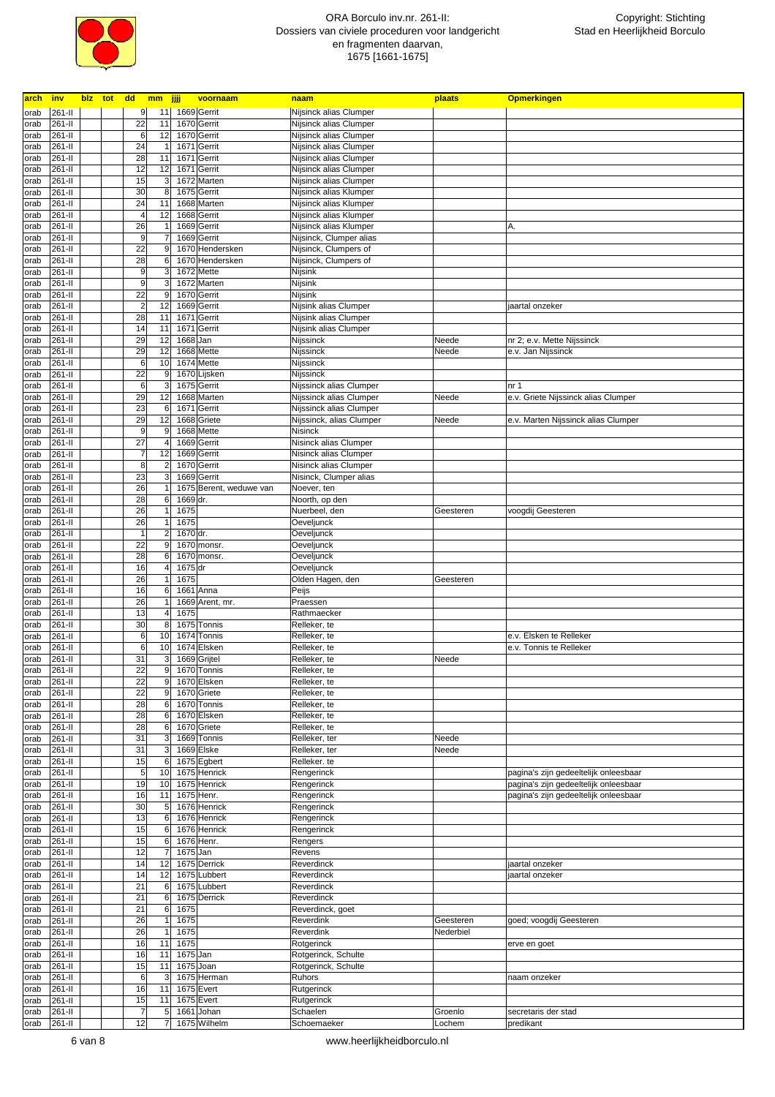

| arch | <u>inv</u> |  | blz tot dd<br>mm jjjj |          | voornaam                | naam                     | plaats    | <b>Opmerkingen</b>                    |
|------|------------|--|-----------------------|----------|-------------------------|--------------------------|-----------|---------------------------------------|
| orab | 261-II     |  | 9<br>11               |          | 1669 Gerrit             | Nijsinck alias Clumper   |           |                                       |
| orab | 261-II     |  | 22<br>11              |          | 1670 Gerrit             | Nijsinck alias Clumper   |           |                                       |
|      |            |  | 6                     |          | 1670 Gerrit             |                          |           |                                       |
| orab | 261-II     |  | 12                    |          |                         | Nijsinck alias Clumper   |           |                                       |
| orab | 261-II     |  | 24<br>1               |          | 1671 Gerrit             | Nijsinck alias Clumper   |           |                                       |
| orab | 261-II     |  | 28<br>11              |          | 1671 Gerrit             | Nijsinck alias Clumper   |           |                                       |
| orab | 261-II     |  | 12<br>12              |          | 1671 Gerrit             | Nijsinck alias Clumper   |           |                                       |
| orab | 261-II     |  | 15                    |          | 1672 Marten             | Nijsinck alias Clumper   |           |                                       |
| orab | 261-II     |  | 30<br>8               |          | 1675 Gerrit             | Nijsinck alias Klumper   |           |                                       |
| orab | 261-II     |  | 24<br>11              |          | 1668 Marten             | Nijsinck alias Klumper   |           |                                       |
|      |            |  |                       |          |                         |                          |           |                                       |
| orab | 261-II     |  | 12<br>4               |          | 1668 Gerrit             | Nijsinck alias Klumper   |           |                                       |
| orab | 261-II     |  | 26                    |          | 1669 Gerrit             | Nijsinck alias Klumper   |           | Α.                                    |
| orab | 261-II     |  | $\overline{9}$        |          | 1669 Gerrit             | Nijsinck, Clumper alias  |           |                                       |
| orab | 261-II     |  | 22<br>9               |          | 1670 Hendersken         | Nijsinck, Clumpers of    |           |                                       |
| orab | 261-II     |  | 28<br>6               |          | 1670 Hendersken         | Nijsinck, Clumpers of    |           |                                       |
| orab | 261-II     |  | 9<br>3                |          | 1672 Mette              | Nijsink                  |           |                                       |
| orab | 261-II     |  | 9<br>3                |          | 1672 Marten             | Nijsink                  |           |                                       |
|      | 261-II     |  | 22<br>9               |          | 1670 Gerrit             | Nijsink                  |           |                                       |
| orab |            |  |                       |          |                         |                          |           |                                       |
| orab | 261-II     |  | $\overline{2}$<br>12  |          | 1669 Gerrit             | Nijsink alias Clumper    |           | jaartal onzeker                       |
| orab | 261-II     |  | 28<br>11              |          | 1671 Gerrit             | Nijsink alias Clumper    |           |                                       |
| orab | 261-II     |  | 14<br>11              |          | 1671 Gerrit             | Nijsink alias Clumper    |           |                                       |
| orab | 261-II     |  | 29<br>12              | 1668 Jan |                         | Nijssinck                | Neede     | nr 2; e.v. Mette Nijssinck            |
| orab | 261-II     |  | 29<br>12              |          | 1668 Mette              | Nijssinck                | Neede     | e.v. Jan Nijssinck                    |
| orab | 261-II     |  | 6<br>10               |          | 1674 Mette              | Nijssinck                |           |                                       |
| orab | 261-II     |  | $\overline{22}$<br>9  |          | 1670 Lijsken            | Nijssinck                |           |                                       |
|      |            |  | $6\phantom{.}6$<br>3  |          |                         |                          |           | nr <sub>1</sub>                       |
| orab | 261-II     |  |                       |          | 1675 Gerrit             | Nijssinck alias Clumper  |           |                                       |
| orab | 261-II     |  | 29<br>12              |          | 1668 Marten             | Nijssinck alias Clumper  | Neede     | e.v. Griete Nijssinck alias Clumper   |
| orab | 261-II     |  | 23<br>6               |          | 1671 Gerrit             | Nijssinck alias Clumper  |           |                                       |
| orab | 261-II     |  | 29<br>12              |          | 1668 Griete             | Nijssinck, alias Clumper | Neede     | e.v. Marten Nijssinck alias Clumper   |
| orab | 261-II     |  | 9<br>9                |          | 1668 Mette              | Nisinck                  |           |                                       |
| orab | 261-II     |  | 27                    |          | 1669 Gerrit             | Nisinck alias Clumper    |           |                                       |
| orab | 261-II     |  | 7<br>12               |          | 1669 Gerrit             | Nisinck alias Clumper    |           |                                       |
| orab | 261-II     |  | 8                     |          | 1670 Gerrit             | Nisinck alias Clumper    |           |                                       |
|      |            |  |                       |          |                         |                          |           |                                       |
| orab | 261-II     |  | 23<br>3               |          | 1669 Gerrit             | Nisinck, Clumper alias   |           |                                       |
| orab | 261-II     |  | 26                    |          | 1675 Berent, weduwe van | Noever, ten              |           |                                       |
| orab | 261-II     |  | 28<br>6               | 1669 dr. |                         | Noorth, op den           |           |                                       |
| orab | 261-II     |  | 26<br>1               | 1675     |                         | Nuerbeel, den            | Geesteren | voogdij Geesteren                     |
| orab | 261-II     |  | 26<br>1               | 1675     |                         | Oeveljunck               |           |                                       |
| orab | 261-II     |  | $\overline{1}$<br>2   | 1670 dr. |                         | Oeveljunck               |           |                                       |
| orab | 261-II     |  | 22<br>9               |          | 1670 monsr.             | Oeveljunck               |           |                                       |
| orab | 261-II     |  | 28<br>6               |          | 1670 monsr.             | Oeveljunck               |           |                                       |
| orab | 261-II     |  | 16<br>$\overline{4}$  | 1675 dr  |                         | Oeveljunck               |           |                                       |
| orab | 261-II     |  | 26                    | 1675     |                         | Olden Hagen, den         | Geesteren |                                       |
| orab | 261-II     |  | 16<br>6               |          | 1661 Anna               | Peijs                    |           |                                       |
|      | 261-II     |  | 26                    |          | 1669 Arent, mr.         | Praessen                 |           |                                       |
| orab |            |  |                       |          |                         |                          |           |                                       |
| orab | 261-II     |  | 13                    | 1675     |                         | Rathmaecker              |           |                                       |
| orab | 261-II     |  | 30<br>8               |          | 1675 Tonnis             | Relleker, te             |           |                                       |
| orab | 261-II     |  | 6<br>10               |          | 1674 Tonnis             | Relleker, te             |           | e.v. Elsken te Relleker               |
| orab | 261-II     |  | 6<br>10               |          | 1674 Elsken             | Relleker, te             |           | e.v. Tonnis te Relleker               |
| orab | 261-II     |  | 31<br>3               |          | 1669 Grijtel            | Relleker, te             | Neede     |                                       |
| orab | 261-II     |  | 22<br>9               |          | 1670 Tonnis             | Relleker, te             |           |                                       |
| orab | 261-II     |  | 22<br>ы               |          | 1670 Elsken             | Relleker, te             |           |                                       |
| orab | 261-II     |  | 22<br>$\overline{9}$  |          | 1670 Griete             | Relleker, te             |           |                                       |
| orab | 261-II     |  | 28<br>6               |          | 1670 Tonnis             | Relleker, te             |           |                                       |
|      |            |  |                       |          |                         |                          |           |                                       |
| orab | 261-II     |  | 28<br>6               |          | 1670 Elsken             | Relleker, te             |           |                                       |
| orab | 261-II     |  | 28<br>6               |          | 1670 Griete             | Relleker, te             |           |                                       |
| orab | 261-II     |  | 31<br>3               |          | 1669 Tonnis             | Relleker, ter            | Neede     |                                       |
| orab | 261-II     |  | 31<br>3               |          | 1669 Elske              | Relleker, ter            | Neede     |                                       |
| orab | 261-II     |  | 15<br>6               |          | 1675 Egbert             | Relleker. te             |           |                                       |
| orab | 261-II     |  | $\overline{5}$<br>10  |          | 1675 Henrick            | Rengerinck               |           | pagina's zijn gedeeltelijk onleesbaar |
| orab | 261-II     |  | 19<br>10              |          | 1675 Henrick            | Rengerinck               |           | pagina's zijn gedeeltelijk onleesbaar |
| orab | 261-II     |  | 16<br>11              |          | 1675 Henr.              | Rengerinck               |           | pagina's zijn gedeeltelijk onleesbaar |
| orab | 261-II     |  | 30<br>5               |          | 1676 Henrick            | Rengerinck               |           |                                       |
|      | 261-II     |  | 13<br>6               |          | 1676 Henrick            | Rengerinck               |           |                                       |
| orab |            |  |                       |          |                         |                          |           |                                       |
| orab | 261-II     |  | 15<br>6               |          | 1676 Henrick            | Rengerinck               |           |                                       |
| orab | 261-II     |  | 15<br>6               |          | 1676 Henr.              | Rengers                  |           |                                       |
| orab | 261-II     |  | 12                    | 1675 Jan |                         | Revens                   |           |                                       |
| orab | 261-II     |  | 14<br>12              |          | 1675 Derrick            | Reverdinck               |           | jaartal onzeker                       |
| orab | 261-II     |  | 14<br>12              |          | 1675 Lubbert            | Reverdinck               |           | jaartal onzeker                       |
| orab | 261-II     |  | 21<br>6               |          | 1675 Lubbert            | Reverdinck               |           |                                       |
| orab | 261-II     |  | 21<br>6               |          | 1675 Derrick            | Reverdinck               |           |                                       |
| orab | 261-II     |  | 21<br>6               | 1675     |                         | Reverdinck, goet         |           |                                       |
| orab | 261-II     |  | 26<br>1               | 1675     |                         | Reverdink                | Geesteren | goed; voogdij Geesteren               |
| orab | 261-II     |  | 26                    | 1675     |                         | Reverdink                | Nederbiel |                                       |
| orab | 261-II     |  | 16<br>11              | 1675     |                         | Rotgerinck               |           | erve en goet                          |
|      | 261-II     |  | 16<br>11              | 1675 Jan |                         | Rotgerinck, Schulte      |           |                                       |
| orab |            |  |                       |          |                         |                          |           |                                       |
| orab | 261-II     |  | 15<br>11              |          | 1675 Joan               | Rotgerinck, Schulte      |           |                                       |
| orab | 261-II     |  | 6                     |          | 1675 Herman             | Ruhors                   |           | naam onzeker                          |
| orab | 261-II     |  | 16<br>11              |          | 1675 Evert              | Rutgerinck               |           |                                       |
| orab | 261-II     |  | 15<br>11              |          | 1675 Evert              | Rutgerinck               |           |                                       |
| orab | 261-II     |  | $\overline{7}$<br>5   |          | 1661 Johan              | Schaelen                 | Groenlo   | secretaris der stad                   |
| orab | 261-II     |  | 12<br>7               |          | 1675 Wilhelm            | Schoemaeker              | Lochem    | predikant                             |
|      |            |  |                       |          |                         |                          |           |                                       |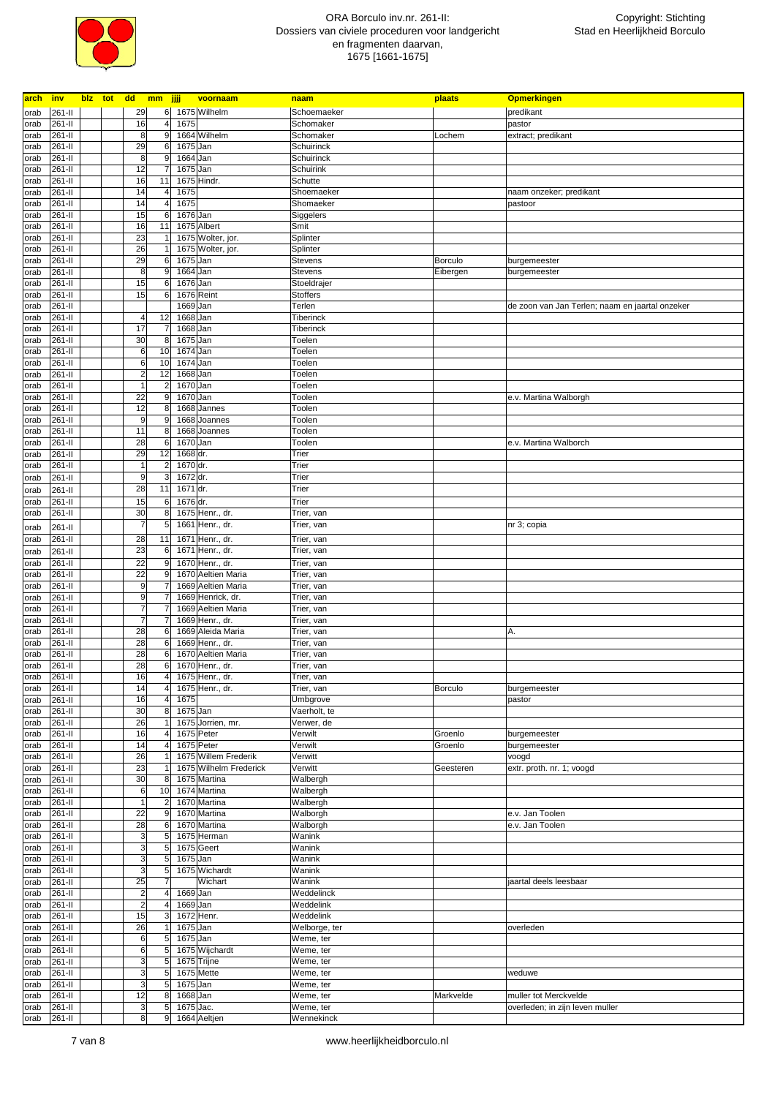

| arch         | <b>inv</b>       |  |                         | blz tot dd mm jjjj               |                        | voornaam                              | naam                       | plaats         | <b>Opmerkingen</b>                              |
|--------------|------------------|--|-------------------------|----------------------------------|------------------------|---------------------------------------|----------------------------|----------------|-------------------------------------------------|
| orab         | 261-II           |  | 29                      |                                  |                        | 6 1675 Wilhelm                        | Schoemaeker                |                | predikant                                       |
| orab         | 261-II           |  | 16                      | $\overline{4}$                   | 1675                   |                                       | Schomaker                  |                | pastor                                          |
| orab         | 261-II           |  | 8                       | 9                                |                        | 1664 Wilhelm                          | Schomaker                  | Lochem         | extract; predikant                              |
| orab         | 261-II           |  | 29                      | 6                                | 1675 Jan               |                                       | Schuirinck                 |                |                                                 |
| orab         | 261-II           |  | 8                       | $9\,$<br>$\overline{7}$          | 1664 Jan               |                                       | Schuirinck                 |                |                                                 |
| orab         | 261-II<br>261-II |  | 12<br>16                | 11                               | 1675 Jan               | 1675 Hindr.                           | Schuirink<br>Schutte       |                |                                                 |
| orab<br>orab | 261-II           |  | 14                      | 4                                | 1675                   |                                       | Shoemaeker                 |                | naam onzeker; predikant                         |
| orab         | 261-II           |  | 14                      | $\overline{4}$                   | 1675                   |                                       | Shomaeker                  |                | pastoor                                         |
| orab         | 261-II           |  | 15                      | 6                                | 1676 Jan               |                                       | Siggelers                  |                |                                                 |
| orab         | 261-II           |  | 16                      | 11                               |                        | 1675 Albert                           | Smit                       |                |                                                 |
| orab         | 261-II           |  | 23                      |                                  |                        | 1675 Wolter, jor.                     | Splinter                   |                |                                                 |
| orab         | 261-II           |  | 26                      |                                  |                        | 1675 Wolter, jor.                     | Splinter                   |                |                                                 |
| orab         | 261-II           |  | 29                      | 6                                | 1675 Jan               |                                       | <b>Stevens</b>             | Borculo        | burgemeester                                    |
| orab         | 261-II           |  | 8                       | $\boldsymbol{9}$                 | 1664 Jan               |                                       | <b>Stevens</b>             | Eibergen       | burgemeester                                    |
| orab         | 261-II           |  | 15<br>15                | 6<br>$\,6$                       | 1676 Jan               |                                       | Stoeldrajer                |                |                                                 |
| orab<br>orab | 261-II<br>261-II |  |                         |                                  | 1676 Reint<br>1669 Jan |                                       | <b>Stoffers</b><br>Terlen  |                | de zoon van Jan Terlen; naam en jaartal onzeker |
| orab         | 261-II           |  | 4                       | 12                               | 1668 Jan               |                                       | <b>Tiberinck</b>           |                |                                                 |
| orab         | 261-II           |  | 17                      | 7                                | 1668 Jan               |                                       | Tiberinck                  |                |                                                 |
| orab         | 261-II           |  | 30                      | 8 <sup>1</sup>                   | 1675 Jan               |                                       | Toelen                     |                |                                                 |
| orab         | 261-II           |  | 6                       | 10                               | 1674 Jan               |                                       | Toelen                     |                |                                                 |
| orab         | 261-II           |  | 6                       | 10                               | 1674 Jan               |                                       | Toelen                     |                |                                                 |
| orab         | 261-II           |  | $\overline{a}$          | 12                               | 1668 Jan               |                                       | Toelen                     |                |                                                 |
| orab         | 261-II           |  | 1                       | $\overline{2}$                   | 1670 Jan               |                                       | Toelen                     |                |                                                 |
| orab         | 261-II           |  | 22                      | $9\,$                            | 1670 Jan               |                                       | Toolen                     |                | e.v. Martina Walborgh                           |
| orab         | 261-II           |  | 12<br>9                 | $\bf 8$                          |                        | 1668 Jannes<br>1668 Joannes           | Toolen                     |                |                                                 |
| orab         | 261-II<br>261-II |  | 11                      | 9<br>8                           |                        | 1668 Joannes                          | Toolen<br>Toolen           |                |                                                 |
| orab<br>orab | 261-II           |  | 28                      | 6                                | 1670 Jan               |                                       | Toolen                     |                | e.v. Martina Walborch                           |
| orab         | 261-II           |  | 29                      | 12                               | 1668 dr.               |                                       | Trier                      |                |                                                 |
| orab         | 261-II           |  | 1                       | $\overline{a}$                   | 1670 dr.               |                                       | Trier                      |                |                                                 |
| orab         | 261-II           |  | 9                       | $\mathbf{3}$                     | 1672 dr.               |                                       | Trier                      |                |                                                 |
| orab         | 261-II           |  | 28                      | 11                               | 1671 dr.               |                                       | Trier                      |                |                                                 |
| orab         | 261-II           |  | 15                      | 6                                | 1676 dr.               |                                       | Trier                      |                |                                                 |
| orab         | 261-II           |  | 30                      | 8                                |                        | 1675 Henr., dr.                       | Trier, van                 |                |                                                 |
| orab         | 261-II           |  | $\overline{7}$          | 5                                |                        | 1661 Henr., dr.                       | Trier, van                 |                | nr 3; copia                                     |
| orab         | 261-II           |  | 28                      | 11                               |                        | 1671 Henr., dr.                       | Trier, van                 |                |                                                 |
| orab         | 261-II           |  | 23                      | 6                                |                        | 1671 Henr., dr.                       | Trier, van                 |                |                                                 |
| orab         | 261-II           |  | 22                      | 9                                |                        | 1670 Henr., dr.                       | Trier, van                 |                |                                                 |
| orab         | 261-II           |  | 22                      | 9                                |                        | 1670 Aeltien Maria                    | Trier, van                 |                |                                                 |
| orab         | 261-II           |  | 9                       | 7                                |                        | 1669 Aeltien Maria                    | Trier, van                 |                |                                                 |
| orab         | 261-II           |  | 9<br>7                  |                                  |                        | 1669 Henrick, dr.                     | Trier, van                 |                |                                                 |
| orab<br>orab | 261-II<br>261-II |  | 7                       |                                  |                        | 1669 Aeltien Maria<br>1669 Henr., dr. | Trier, van<br>Trier, van   |                |                                                 |
| orab         | 261-II           |  | 28                      | 6                                |                        | 1669 Aleida Maria                     | Trier, van                 |                | Α.                                              |
| orab         | 261-II           |  | 28                      | 6                                |                        | 1669 Henr., dr.                       | Trier, van                 |                |                                                 |
| orab         | 261-II           |  | 28                      | 6                                |                        | 1670 Aeltien Maria                    | Trier, van                 |                |                                                 |
| orab         | 261-II           |  | 28                      | $6 \,$                           |                        | 1670 Henr., dr.                       | Trier, van                 |                |                                                 |
| orab         | 261-II           |  | 16                      | $\overline{4}$                   |                        | 1675 Henr., dr.                       | Trier, van                 |                |                                                 |
| orab         | 261-II           |  | 14                      | 4 <sup>1</sup>                   |                        | 1675 Henr., dr.                       | Trier, van                 | <b>Borculo</b> | burgemeester                                    |
| orab         | 261-II           |  | 16                      | $\frac{4}{3}$                    | 1675                   |                                       | Umbgrove                   |                | pastor                                          |
| orab         | 261-II           |  | 30<br>26                | 8 <sup>1</sup>                   | 1675 Jan               | 1675 Jorrien, mr.                     | Vaerholt, te<br>Verwer, de |                |                                                 |
| orab<br>orab | 261-II<br>261-II |  | 16                      |                                  |                        | 1675 Peter                            | Verwilt                    | Groenlo        | burgemeester                                    |
| orab         | 261-II           |  | 14                      |                                  |                        | 1675 Peter                            | Verwilt                    | Groenlo        | burgemeester                                    |
| orab         | 261-II           |  | 26                      |                                  |                        | 1675 Willem Frederik                  | Verwitt                    |                | voogd                                           |
| orab         | 261-II           |  | 23                      | $\mathbf{1}$                     |                        | 1675 Wilhelm Frederick                | Verwitt                    | Geesteren      | extr. proth. nr. 1; voogd                       |
| orab         | 261-II           |  | 30                      | 8 <sup>1</sup>                   |                        | 1675 Martina                          | Walbergh                   |                |                                                 |
| orab         | 261-II           |  | 6                       | 10                               |                        | 1674 Martina                          | Walbergh                   |                |                                                 |
| orab         | 261-II           |  | $\mathbf{1}$            | $\overline{a}$                   |                        | 1670 Martina                          | Walbergh                   |                |                                                 |
| orab         | 261-II           |  | 22                      | 9                                |                        | 1670 Martina                          | Walborgh                   |                | e.v. Jan Toolen                                 |
| orab         | 261-II           |  | 28                      | $6 \mid$                         |                        | 1670 Martina                          | Walborgh                   |                | e.v. Jan Toolen                                 |
| orab         | 261-II<br>261-II |  | 3<br>3                  | 5 <sup>1</sup><br>5 <sup>1</sup> |                        | 1675 Herman<br>1675 Geert             | Wanink<br>Wanink           |                |                                                 |
| orab<br>orab | 261-II           |  | 3                       | $5\overline{)}$                  | 1675 Jan               |                                       | Wanink                     |                |                                                 |
| orab         | 261-II           |  | 3                       | 5 <sub>5</sub>                   |                        | 1675 Wichardt                         | Wanink                     |                |                                                 |
| orab         | 261-II           |  | 25                      | $\overline{7}$                   |                        | Wichart                               | Wanink                     |                | jaartal deels leesbaar                          |
| orab         | 261-II           |  | $\overline{\mathbf{c}}$ | 4                                | 1669 Jan               |                                       | Weddelinck                 |                |                                                 |
| orab         | 261-II           |  | $\overline{2}$          | 4                                | 1669 Jan               |                                       | Weddelink                  |                |                                                 |
| orab         | 261-II           |  | 15                      | 3                                |                        | 1672 Henr.                            | Weddelink                  |                |                                                 |
| orab         | 261-II           |  | 26                      |                                  | 1675 Jan               |                                       | Welborge, ter              |                | overleden                                       |
| orab         | 261-II           |  | 6                       | $5\overline{)}$                  | 1675 Jan               |                                       | Weme, ter                  |                |                                                 |
| orab         | 261-II           |  | 6<br>3                  | 5 <sub>5</sub><br>5 <sup>1</sup> |                        | 1675 Wijchardt                        | Weme, ter                  |                |                                                 |
| orab<br>orab | 261-II<br>261-II |  | 3                       | 5 <sup>1</sup>                   |                        | 1675 Trijne<br>1675 Mette             | Weme, ter<br>Weme, ter     |                | weduwe                                          |
| orab         | 261-II           |  | 3                       | 5 <sub>5</sub>                   | 1675 Jan               |                                       | Weme, ter                  |                |                                                 |
| orab         | 261-II           |  | 12                      | 8                                | 1668 Jan               |                                       | Weme, ter                  | Markvelde      | muller tot Merckvelde                           |
| orab         | 261-II           |  | 3                       | 5 <sub>5</sub>                   | 1675 Jac.              |                                       | Weme, ter                  |                | overleden; in zijn leven muller                 |
| orab 261-II  |                  |  | 8                       | 9                                |                        | 1664 Aeltjen                          | Wennekinck                 |                |                                                 |